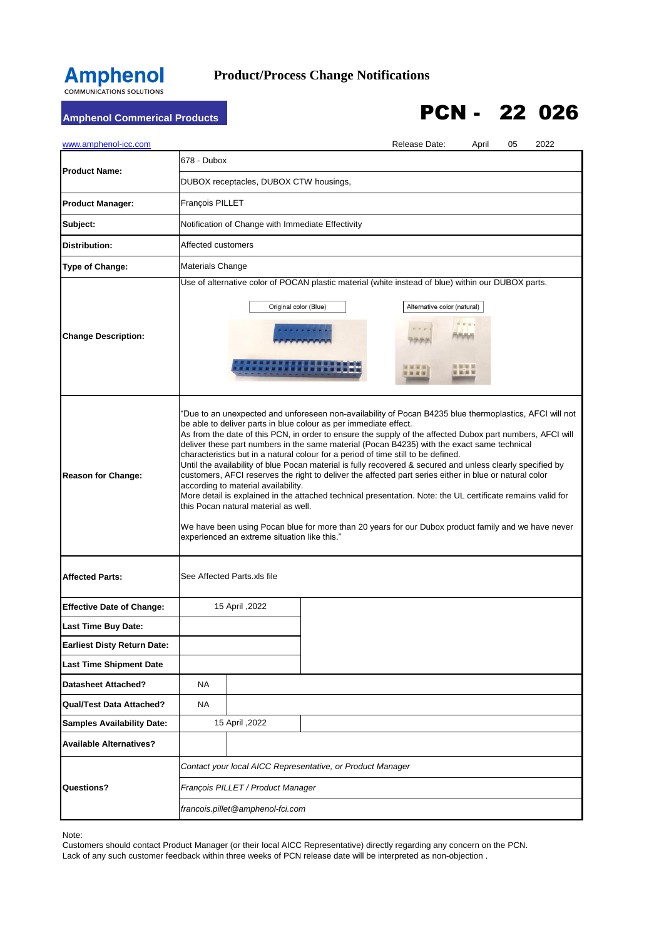## **Amphenol**

## **Product/Process Change Notifications**

## Amphenol Commerical Products **PCN - 22 026**

| www.amphenol-icc.com               |                        |                                                                                                                                                                                                                                                                                                                                                                                                                                                                                                                                                                                                                                                                                                                                                                                                                                                                                                                                                                                                                                                           |                                                                                                                                                                  | Release Date:                                                            | April | 05 | 2022 |  |
|------------------------------------|------------------------|-----------------------------------------------------------------------------------------------------------------------------------------------------------------------------------------------------------------------------------------------------------------------------------------------------------------------------------------------------------------------------------------------------------------------------------------------------------------------------------------------------------------------------------------------------------------------------------------------------------------------------------------------------------------------------------------------------------------------------------------------------------------------------------------------------------------------------------------------------------------------------------------------------------------------------------------------------------------------------------------------------------------------------------------------------------|------------------------------------------------------------------------------------------------------------------------------------------------------------------|--------------------------------------------------------------------------|-------|----|------|--|
| <b>Product Name:</b>               | 678 - Dubox            |                                                                                                                                                                                                                                                                                                                                                                                                                                                                                                                                                                                                                                                                                                                                                                                                                                                                                                                                                                                                                                                           |                                                                                                                                                                  |                                                                          |       |    |      |  |
|                                    |                        | DUBOX receptacles, DUBOX CTW housings,                                                                                                                                                                                                                                                                                                                                                                                                                                                                                                                                                                                                                                                                                                                                                                                                                                                                                                                                                                                                                    |                                                                                                                                                                  | Alternative color (natural)<br>H H H I<br><b>VIVA</b><br><b>CONTRACT</b> |       |    |      |  |
| <b>Product Manager:</b>            | <b>Francois PILLET</b> |                                                                                                                                                                                                                                                                                                                                                                                                                                                                                                                                                                                                                                                                                                                                                                                                                                                                                                                                                                                                                                                           | Use of alternative color of POCAN plastic material (white instead of blue) within our DUBOX parts.<br>Contact your local AICC Representative, or Product Manager |                                                                          |       |    |      |  |
| Subject:                           |                        | Notification of Change with Immediate Effectivity                                                                                                                                                                                                                                                                                                                                                                                                                                                                                                                                                                                                                                                                                                                                                                                                                                                                                                                                                                                                         |                                                                                                                                                                  |                                                                          |       |    |      |  |
| <b>Distribution:</b>               | Affected customers     |                                                                                                                                                                                                                                                                                                                                                                                                                                                                                                                                                                                                                                                                                                                                                                                                                                                                                                                                                                                                                                                           |                                                                                                                                                                  |                                                                          |       |    |      |  |
| Type of Change:                    | Materials Change       |                                                                                                                                                                                                                                                                                                                                                                                                                                                                                                                                                                                                                                                                                                                                                                                                                                                                                                                                                                                                                                                           |                                                                                                                                                                  |                                                                          |       |    |      |  |
| <b>Change Description:</b>         |                        | Original color (Blue)                                                                                                                                                                                                                                                                                                                                                                                                                                                                                                                                                                                                                                                                                                                                                                                                                                                                                                                                                                                                                                     |                                                                                                                                                                  |                                                                          |       |    |      |  |
| <b>Reason for Change:</b>          |                        | "Due to an unexpected and unforeseen non-availability of Pocan B4235 blue thermoplastics, AFCI will not<br>be able to deliver parts in blue colour as per immediate effect.<br>As from the date of this PCN, in order to ensure the supply of the affected Dubox part numbers, AFCI will<br>deliver these part numbers in the same material (Pocan B4235) with the exact same technical<br>characteristics but in a natural colour for a period of time still to be defined.<br>Until the availability of blue Pocan material is fully recovered & secured and unless clearly specified by<br>customers, AFCI reserves the right to deliver the affected part series either in blue or natural color<br>according to material availability.<br>More detail is explained in the attached technical presentation. Note: the UL certificate remains valid for<br>this Pocan natural material as well.<br>We have been using Pocan blue for more than 20 years for our Dubox product family and we have never<br>experienced an extreme situation like this." |                                                                                                                                                                  |                                                                          |       |    |      |  |
| <b>Affected Parts:</b>             |                        | See Affected Parts.xls file                                                                                                                                                                                                                                                                                                                                                                                                                                                                                                                                                                                                                                                                                                                                                                                                                                                                                                                                                                                                                               |                                                                                                                                                                  |                                                                          |       |    |      |  |
| <b>Effective Date of Change:</b>   |                        | 15 April , 2022                                                                                                                                                                                                                                                                                                                                                                                                                                                                                                                                                                                                                                                                                                                                                                                                                                                                                                                                                                                                                                           |                                                                                                                                                                  |                                                                          |       |    |      |  |
| <b>Last Time Buy Date:</b>         |                        |                                                                                                                                                                                                                                                                                                                                                                                                                                                                                                                                                                                                                                                                                                                                                                                                                                                                                                                                                                                                                                                           |                                                                                                                                                                  |                                                                          |       |    |      |  |
| <b>Earliest Disty Return Date:</b> |                        |                                                                                                                                                                                                                                                                                                                                                                                                                                                                                                                                                                                                                                                                                                                                                                                                                                                                                                                                                                                                                                                           |                                                                                                                                                                  |                                                                          |       |    |      |  |
| <b>Last Time Shipment Date</b>     |                        |                                                                                                                                                                                                                                                                                                                                                                                                                                                                                                                                                                                                                                                                                                                                                                                                                                                                                                                                                                                                                                                           |                                                                                                                                                                  |                                                                          |       |    |      |  |
| <b>Datasheet Attached?</b>         | <b>NA</b>              |                                                                                                                                                                                                                                                                                                                                                                                                                                                                                                                                                                                                                                                                                                                                                                                                                                                                                                                                                                                                                                                           |                                                                                                                                                                  |                                                                          |       |    |      |  |
| <b>Qual/Test Data Attached?</b>    | NA                     |                                                                                                                                                                                                                                                                                                                                                                                                                                                                                                                                                                                                                                                                                                                                                                                                                                                                                                                                                                                                                                                           |                                                                                                                                                                  |                                                                          |       |    |      |  |
| <b>Samples Availability Date:</b>  |                        | 15 April , 2022                                                                                                                                                                                                                                                                                                                                                                                                                                                                                                                                                                                                                                                                                                                                                                                                                                                                                                                                                                                                                                           |                                                                                                                                                                  |                                                                          |       |    |      |  |
| <b>Available Alternatives?</b>     |                        |                                                                                                                                                                                                                                                                                                                                                                                                                                                                                                                                                                                                                                                                                                                                                                                                                                                                                                                                                                                                                                                           |                                                                                                                                                                  |                                                                          |       |    |      |  |
|                                    |                        |                                                                                                                                                                                                                                                                                                                                                                                                                                                                                                                                                                                                                                                                                                                                                                                                                                                                                                                                                                                                                                                           |                                                                                                                                                                  |                                                                          |       |    |      |  |
| <b>Questions?</b>                  |                        | François PILLET / Product Manager                                                                                                                                                                                                                                                                                                                                                                                                                                                                                                                                                                                                                                                                                                                                                                                                                                                                                                                                                                                                                         |                                                                                                                                                                  |                                                                          |       |    |      |  |
|                                    |                        | francois.pillet@amphenol-fci.com                                                                                                                                                                                                                                                                                                                                                                                                                                                                                                                                                                                                                                                                                                                                                                                                                                                                                                                                                                                                                          |                                                                                                                                                                  |                                                                          |       |    |      |  |

Note:

Customers should contact Product Manager (or their local AICC Representative) directly regarding any concern on the PCN. Lack of any such customer feedback within three weeks of PCN release date will be interpreted as non-objection .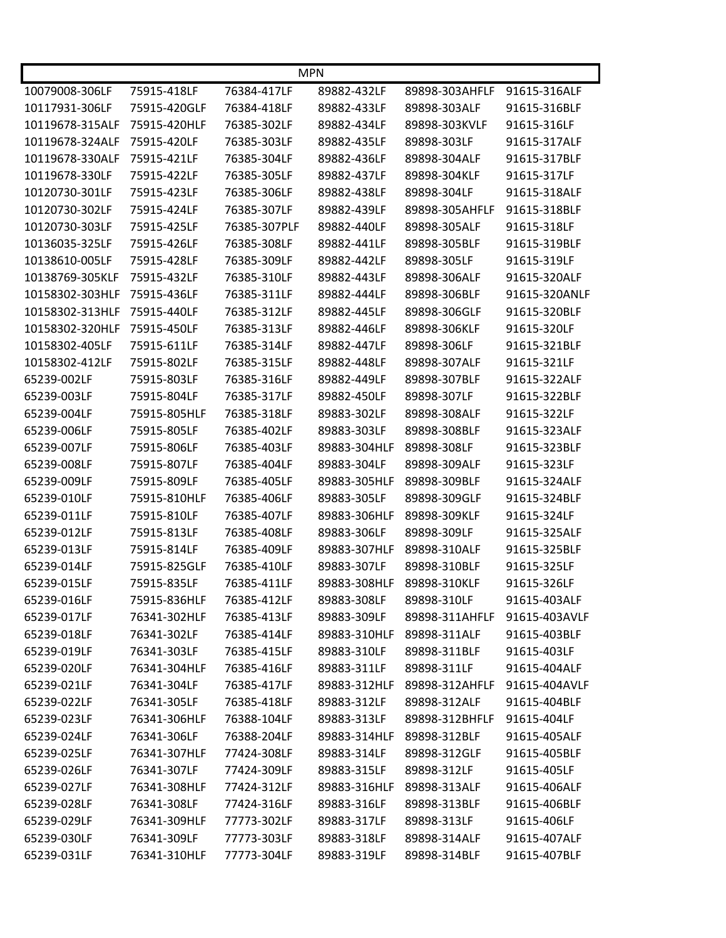|                 |              | <b>MPN</b>   |              |                |               |
|-----------------|--------------|--------------|--------------|----------------|---------------|
| 10079008-306LF  | 75915-418LF  | 76384-417LF  | 89882-432LF  | 89898-303AHFLF | 91615-316ALF  |
| 10117931-306LF  | 75915-420GLF | 76384-418LF  | 89882-433LF  | 89898-303ALF   | 91615-316BLF  |
| 10119678-315ALF | 75915-420HLF | 76385-302LF  | 89882-434LF  | 89898-303KVLF  | 91615-316LF   |
| 10119678-324ALF | 75915-420LF  | 76385-303LF  | 89882-435LF  | 89898-303LF    | 91615-317ALF  |
| 10119678-330ALF | 75915-421LF  | 76385-304LF  | 89882-436LF  | 89898-304ALF   | 91615-317BLF  |
| 10119678-330LF  | 75915-422LF  | 76385-305LF  | 89882-437LF  | 89898-304KLF   | 91615-317LF   |
| 10120730-301LF  | 75915-423LF  | 76385-306LF  | 89882-438LF  | 89898-304LF    | 91615-318ALF  |
| 10120730-302LF  | 75915-424LF  | 76385-307LF  | 89882-439LF  | 89898-305AHFLF | 91615-318BLF  |
| 10120730-303LF  | 75915-425LF  | 76385-307PLF | 89882-440LF  | 89898-305ALF   | 91615-318LF   |
| 10136035-325LF  | 75915-426LF  | 76385-308LF  | 89882-441LF  | 89898-305BLF   | 91615-319BLF  |
| 10138610-005LF  | 75915-428LF  | 76385-309LF  | 89882-442LF  | 89898-305LF    | 91615-319LF   |
| 10138769-305KLF | 75915-432LF  | 76385-310LF  | 89882-443LF  | 89898-306ALF   | 91615-320ALF  |
| 10158302-303HLF | 75915-436LF  | 76385-311LF  | 89882-444LF  | 89898-306BLF   | 91615-320ANLF |
| 10158302-313HLF | 75915-440LF  | 76385-312LF  | 89882-445LF  | 89898-306GLF   | 91615-320BLF  |
| 10158302-320HLF | 75915-450LF  | 76385-313LF  | 89882-446LF  | 89898-306KLF   | 91615-320LF   |
| 10158302-405LF  | 75915-611LF  | 76385-314LF  | 89882-447LF  | 89898-306LF    | 91615-321BLF  |
| 10158302-412LF  | 75915-802LF  | 76385-315LF  | 89882-448LF  | 89898-307ALF   | 91615-321LF   |
| 65239-002LF     | 75915-803LF  | 76385-316LF  | 89882-449LF  | 89898-307BLF   | 91615-322ALF  |
| 65239-003LF     | 75915-804LF  | 76385-317LF  | 89882-450LF  | 89898-307LF    | 91615-322BLF  |
| 65239-004LF     | 75915-805HLF | 76385-318LF  | 89883-302LF  | 89898-308ALF   | 91615-322LF   |
| 65239-006LF     | 75915-805LF  | 76385-402LF  | 89883-303LF  | 89898-308BLF   | 91615-323ALF  |
| 65239-007LF     | 75915-806LF  | 76385-403LF  | 89883-304HLF | 89898-308LF    | 91615-323BLF  |
| 65239-008LF     | 75915-807LF  | 76385-404LF  | 89883-304LF  | 89898-309ALF   | 91615-323LF   |
| 65239-009LF     | 75915-809LF  | 76385-405LF  | 89883-305HLF | 89898-309BLF   | 91615-324ALF  |
| 65239-010LF     | 75915-810HLF | 76385-406LF  | 89883-305LF  | 89898-309GLF   | 91615-324BLF  |
| 65239-011LF     | 75915-810LF  | 76385-407LF  | 89883-306HLF | 89898-309KLF   | 91615-324LF   |
| 65239-012LF     | 75915-813LF  | 76385-408LF  | 89883-306LF  | 89898-309LF    | 91615-325ALF  |
| 65239-013LF     | 75915-814LF  | 76385-409LF  | 89883-307HLF | 89898-310ALF   | 91615-325BLF  |
| 65239-014LF     | 75915-825GLF | 76385-410LF  | 89883-307LF  | 89898-310BLF   | 91615-325LF   |
| 65239-015LF     | 75915-835LF  | 76385-411LF  | 89883-308HLF | 89898-310KLF   | 91615-326LF   |
| 65239-016LF     | 75915-836HLF | 76385-412LF  | 89883-308LF  | 89898-310LF    | 91615-403ALF  |
| 65239-017LF     | 76341-302HLF | 76385-413LF  | 89883-309LF  | 89898-311AHFLF | 91615-403AVLF |
| 65239-018LF     | 76341-302LF  | 76385-414LF  | 89883-310HLF | 89898-311ALF   | 91615-403BLF  |
| 65239-019LF     | 76341-303LF  | 76385-415LF  | 89883-310LF  | 89898-311BLF   | 91615-403LF   |
| 65239-020LF     | 76341-304HLF | 76385-416LF  | 89883-311LF  | 89898-311LF    | 91615-404ALF  |
| 65239-021LF     | 76341-304LF  | 76385-417LF  | 89883-312HLF | 89898-312AHFLF | 91615-404AVLF |
| 65239-022LF     | 76341-305LF  | 76385-418LF  | 89883-312LF  | 89898-312ALF   | 91615-404BLF  |
| 65239-023LF     | 76341-306HLF | 76388-104LF  | 89883-313LF  | 89898-312BHFLF | 91615-404LF   |
| 65239-024LF     | 76341-306LF  | 76388-204LF  | 89883-314HLF | 89898-312BLF   | 91615-405ALF  |
| 65239-025LF     | 76341-307HLF | 77424-308LF  | 89883-314LF  | 89898-312GLF   | 91615-405BLF  |
| 65239-026LF     | 76341-307LF  | 77424-309LF  | 89883-315LF  | 89898-312LF    | 91615-405LF   |
| 65239-027LF     | 76341-308HLF | 77424-312LF  | 89883-316HLF | 89898-313ALF   | 91615-406ALF  |
| 65239-028LF     | 76341-308LF  | 77424-316LF  | 89883-316LF  | 89898-313BLF   | 91615-406BLF  |
| 65239-029LF     | 76341-309HLF | 77773-302LF  | 89883-317LF  | 89898-313LF    | 91615-406LF   |
| 65239-030LF     | 76341-309LF  | 77773-303LF  | 89883-318LF  | 89898-314ALF   | 91615-407ALF  |
| 65239-031LF     | 76341-310HLF | 77773-304LF  | 89883-319LF  | 89898-314BLF   | 91615-407BLF  |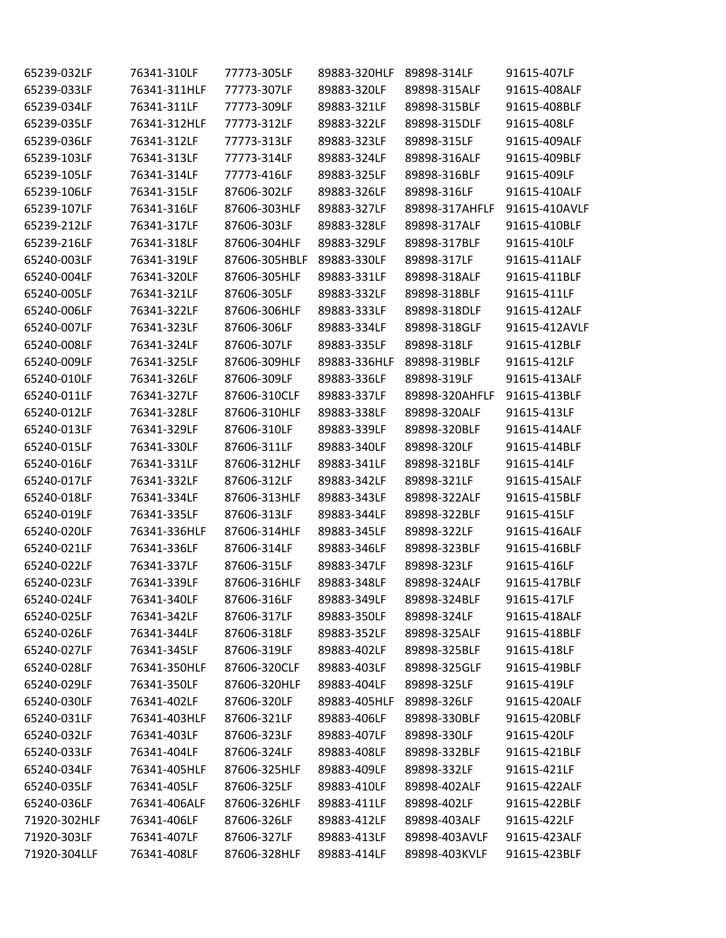| 65239-032LF  | 76341-310LF  | 77773-305LF   | 89883-320HLF | 89898-314LF    | 91615-407LF   |
|--------------|--------------|---------------|--------------|----------------|---------------|
| 65239-033LF  | 76341-311HLF | 77773-307LF   | 89883-320LF  | 89898-315ALF   | 91615-408ALF  |
| 65239-034LF  | 76341-311LF  | 77773-309LF   | 89883-321LF  | 89898-315BLF   | 91615-408BLF  |
| 65239-035LF  | 76341-312HLF | 77773-312LF   | 89883-322LF  | 89898-315DLF   | 91615-408LF   |
| 65239-036LF  | 76341-312LF  | 77773-313LF   | 89883-323LF  | 89898-315LF    | 91615-409ALF  |
| 65239-103LF  | 76341-313LF  | 77773-314LF   | 89883-324LF  | 89898-316ALF   | 91615-409BLF  |
| 65239-105LF  | 76341-314LF  | 77773-416LF   | 89883-325LF  | 89898-316BLF   | 91615-409LF   |
| 65239-106LF  | 76341-315LF  | 87606-302LF   | 89883-326LF  | 89898-316LF    | 91615-410ALF  |
| 65239-107LF  | 76341-316LF  | 87606-303HLF  | 89883-327LF  | 89898-317AHFLF | 91615-410AVLF |
| 65239-212LF  | 76341-317LF  | 87606-303LF   | 89883-328LF  | 89898-317ALF   | 91615-410BLF  |
| 65239-216LF  | 76341-318LF  | 87606-304HLF  | 89883-329LF  | 89898-317BLF   | 91615-410LF   |
| 65240-003LF  | 76341-319LF  | 87606-305HBLF | 89883-330LF  | 89898-317LF    | 91615-411ALF  |
| 65240-004LF  | 76341-320LF  | 87606-305HLF  | 89883-331LF  | 89898-318ALF   | 91615-411BLF  |
| 65240-005LF  | 76341-321LF  | 87606-305LF   | 89883-332LF  | 89898-318BLF   | 91615-411LF   |
| 65240-006LF  | 76341-322LF  | 87606-306HLF  | 89883-333LF  | 89898-318DLF   | 91615-412ALF  |
| 65240-007LF  | 76341-323LF  | 87606-306LF   | 89883-334LF  | 89898-318GLF   | 91615-412AVLF |
| 65240-008LF  | 76341-324LF  | 87606-307LF   | 89883-335LF  | 89898-318LF    | 91615-412BLF  |
| 65240-009LF  | 76341-325LF  | 87606-309HLF  | 89883-336HLF | 89898-319BLF   | 91615-412LF   |
| 65240-010LF  | 76341-326LF  | 87606-309LF   | 89883-336LF  | 89898-319LF    | 91615-413ALF  |
| 65240-011LF  | 76341-327LF  | 87606-310CLF  | 89883-337LF  | 89898-320AHFLF | 91615-413BLF  |
| 65240-012LF  | 76341-328LF  | 87606-310HLF  | 89883-338LF  | 89898-320ALF   | 91615-413LF   |
| 65240-013LF  | 76341-329LF  | 87606-310LF   | 89883-339LF  | 89898-320BLF   | 91615-414ALF  |
| 65240-015LF  | 76341-330LF  | 87606-311LF   | 89883-340LF  | 89898-320LF    | 91615-414BLF  |
| 65240-016LF  | 76341-331LF  | 87606-312HLF  | 89883-341LF  | 89898-321BLF   | 91615-414LF   |
| 65240-017LF  | 76341-332LF  | 87606-312LF   | 89883-342LF  | 89898-321LF    | 91615-415ALF  |
| 65240-018LF  | 76341-334LF  | 87606-313HLF  | 89883-343LF  | 89898-322ALF   | 91615-415BLF  |
| 65240-019LF  | 76341-335LF  | 87606-313LF   | 89883-344LF  | 89898-322BLF   | 91615-415LF   |
| 65240-020LF  | 76341-336HLF | 87606-314HLF  | 89883-345LF  | 89898-322LF    | 91615-416ALF  |
| 65240-021LF  | 76341-336LF  | 87606-314LF   | 89883-346LF  | 89898-323BLF   | 91615-416BLF  |
| 65240-022LF  | 76341-337LF  | 87606-315LF   | 89883-347LF  | 89898-323LF    | 91615-416LF   |
| 65240-023LF  | 76341-339LF  | 87606-316HLF  | 89883-348LF  | 89898-324ALF   | 91615-417BLF  |
| 65240-024LF  | 76341-340LF  | 87606-316LF   | 89883-349LF  | 89898-324BLF   | 91615-417LF   |
| 65240-025LF  | 76341-342LF  | 87606-317LF   | 89883-350LF  | 89898-324LF    | 91615-418ALF  |
| 65240-026LF  | 76341-344LF  | 87606-318LF   | 89883-352LF  | 89898-325ALF   | 91615-418BLF  |
| 65240-027LF  | 76341-345LF  | 87606-319LF   | 89883-402LF  | 89898-325BLF   | 91615-418LF   |
| 65240-028LF  | 76341-350HLF | 87606-320CLF  | 89883-403LF  | 89898-325GLF   | 91615-419BLF  |
| 65240-029LF  | 76341-350LF  | 87606-320HLF  | 89883-404LF  | 89898-325LF    | 91615-419LF   |
| 65240-030LF  | 76341-402LF  | 87606-320LF   | 89883-405HLF | 89898-326LF    | 91615-420ALF  |
| 65240-031LF  | 76341-403HLF | 87606-321LF   | 89883-406LF  | 89898-330BLF   | 91615-420BLF  |
| 65240-032LF  | 76341-403LF  | 87606-323LF   | 89883-407LF  | 89898-330LF    | 91615-420LF   |
| 65240-033LF  | 76341-404LF  | 87606-324LF   | 89883-408LF  | 89898-332BLF   | 91615-421BLF  |
| 65240-034LF  | 76341-405HLF | 87606-325HLF  | 89883-409LF  | 89898-332LF    | 91615-421LF   |
| 65240-035LF  | 76341-405LF  | 87606-325LF   | 89883-410LF  | 89898-402ALF   | 91615-422ALF  |
| 65240-036LF  | 76341-406ALF | 87606-326HLF  | 89883-411LF  | 89898-402LF    | 91615-422BLF  |
| 71920-302HLF | 76341-406LF  | 87606-326LF   | 89883-412LF  | 89898-403ALF   | 91615-422LF   |
| 71920-303LF  | 76341-407LF  | 87606-327LF   | 89883-413LF  | 89898-403AVLF  | 91615-423ALF  |
| 71920-304LLF | 76341-408LF  | 87606-328HLF  | 89883-414LF  | 89898-403KVLF  | 91615-423BLF  |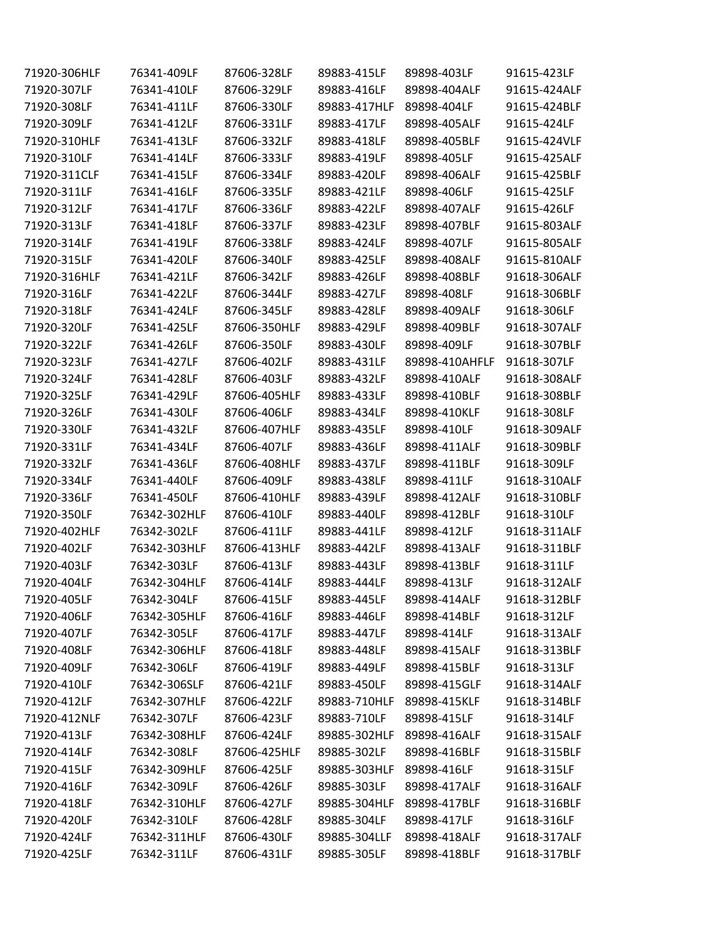| 71920-306HLF | 76341-409LF  | 87606-328LF  | 89883-415LF  | 89898-403LF    | 91615-423LF  |
|--------------|--------------|--------------|--------------|----------------|--------------|
| 71920-307LF  | 76341-410LF  | 87606-329LF  | 89883-416LF  | 89898-404ALF   | 91615-424ALF |
| 71920-308LF  | 76341-411LF  | 87606-330LF  | 89883-417HLF | 89898-404LF    | 91615-424BLF |
| 71920-309LF  | 76341-412LF  | 87606-331LF  | 89883-417LF  | 89898-405ALF   | 91615-424LF  |
| 71920-310HLF | 76341-413LF  | 87606-332LF  | 89883-418LF  | 89898-405BLF   | 91615-424VLF |
| 71920-310LF  | 76341-414LF  | 87606-333LF  | 89883-419LF  | 89898-405LF    | 91615-425ALF |
| 71920-311CLF | 76341-415LF  | 87606-334LF  | 89883-420LF  | 89898-406ALF   | 91615-425BLF |
| 71920-311LF  | 76341-416LF  | 87606-335LF  | 89883-421LF  | 89898-406LF    | 91615-425LF  |
| 71920-312LF  | 76341-417LF  | 87606-336LF  | 89883-422LF  | 89898-407ALF   | 91615-426LF  |
| 71920-313LF  | 76341-418LF  | 87606-337LF  | 89883-423LF  | 89898-407BLF   | 91615-803ALF |
| 71920-314LF  | 76341-419LF  | 87606-338LF  | 89883-424LF  | 89898-407LF    | 91615-805ALF |
| 71920-315LF  | 76341-420LF  | 87606-340LF  | 89883-425LF  | 89898-408ALF   | 91615-810ALF |
| 71920-316HLF | 76341-421LF  | 87606-342LF  | 89883-426LF  | 89898-408BLF   | 91618-306ALF |
| 71920-316LF  | 76341-422LF  | 87606-344LF  | 89883-427LF  | 89898-408LF    | 91618-306BLF |
| 71920-318LF  | 76341-424LF  | 87606-345LF  | 89883-428LF  | 89898-409ALF   | 91618-306LF  |
| 71920-320LF  | 76341-425LF  | 87606-350HLF | 89883-429LF  | 89898-409BLF   | 91618-307ALF |
| 71920-322LF  | 76341-426LF  | 87606-350LF  | 89883-430LF  | 89898-409LF    | 91618-307BLF |
| 71920-323LF  | 76341-427LF  | 87606-402LF  | 89883-431LF  | 89898-410AHFLF | 91618-307LF  |
| 71920-324LF  | 76341-428LF  | 87606-403LF  | 89883-432LF  | 89898-410ALF   | 91618-308ALF |
| 71920-325LF  | 76341-429LF  | 87606-405HLF | 89883-433LF  | 89898-410BLF   | 91618-308BLF |
| 71920-326LF  | 76341-430LF  | 87606-406LF  | 89883-434LF  | 89898-410KLF   | 91618-308LF  |
| 71920-330LF  | 76341-432LF  | 87606-407HLF | 89883-435LF  | 89898-410LF    | 91618-309ALF |
| 71920-331LF  | 76341-434LF  | 87606-407LF  | 89883-436LF  | 89898-411ALF   | 91618-309BLF |
| 71920-332LF  | 76341-436LF  | 87606-408HLF | 89883-437LF  | 89898-411BLF   | 91618-309LF  |
| 71920-334LF  | 76341-440LF  | 87606-409LF  | 89883-438LF  | 89898-411LF    | 91618-310ALF |
| 71920-336LF  | 76341-450LF  | 87606-410HLF | 89883-439LF  | 89898-412ALF   | 91618-310BLF |
| 71920-350LF  | 76342-302HLF | 87606-410LF  | 89883-440LF  | 89898-412BLF   | 91618-310LF  |
| 71920-402HLF | 76342-302LF  | 87606-411LF  | 89883-441LF  | 89898-412LF    | 91618-311ALF |
| 71920-402LF  | 76342-303HLF | 87606-413HLF | 89883-442LF  | 89898-413ALF   | 91618-311BLF |
| 71920-403LF  | 76342-303LF  | 87606-413LF  | 89883-443LF  | 89898-413BLF   | 91618-311LF  |
| 71920-404LF  | 76342-304HLF | 87606-414LF  | 89883-444LF  | 89898-413LF    | 91618-312ALF |
| 71920-405LF  | 76342-304LF  | 87606-415LF  | 89883-445LF  | 89898-414ALF   | 91618-312BLF |
| 71920-406LF  | 76342-305HLF | 87606-416LF  | 89883-446LF  | 89898-414BLF   | 91618-312LF  |
| 71920-407LF  | 76342-305LF  | 87606-417LF  | 89883-447LF  | 89898-414LF    | 91618-313ALF |
| 71920-408LF  | 76342-306HLF | 87606-418LF  | 89883-448LF  | 89898-415ALF   | 91618-313BLF |
| 71920-409LF  | 76342-306LF  | 87606-419LF  | 89883-449LF  | 89898-415BLF   | 91618-313LF  |
| 71920-410LF  | 76342-306SLF | 87606-421LF  | 89883-450LF  | 89898-415GLF   | 91618-314ALF |
| 71920-412LF  | 76342-307HLF | 87606-422LF  | 89883-710HLF | 89898-415KLF   | 91618-314BLF |
| 71920-412NLF | 76342-307LF  | 87606-423LF  | 89883-710LF  | 89898-415LF    | 91618-314LF  |
| 71920-413LF  | 76342-308HLF | 87606-424LF  | 89885-302HLF | 89898-416ALF   | 91618-315ALF |
| 71920-414LF  | 76342-308LF  | 87606-425HLF | 89885-302LF  | 89898-416BLF   | 91618-315BLF |
| 71920-415LF  | 76342-309HLF | 87606-425LF  | 89885-303HLF | 89898-416LF    | 91618-315LF  |
| 71920-416LF  | 76342-309LF  | 87606-426LF  | 89885-303LF  | 89898-417ALF   | 91618-316ALF |
| 71920-418LF  | 76342-310HLF | 87606-427LF  | 89885-304HLF | 89898-417BLF   | 91618-316BLF |
| 71920-420LF  | 76342-310LF  | 87606-428LF  | 89885-304LF  | 89898-417LF    | 91618-316LF  |
| 71920-424LF  | 76342-311HLF | 87606-430LF  | 89885-304LLF | 89898-418ALF   | 91618-317ALF |
| 71920-425LF  | 76342-311LF  | 87606-431LF  | 89885-305LF  | 89898-418BLF   | 91618-317BLF |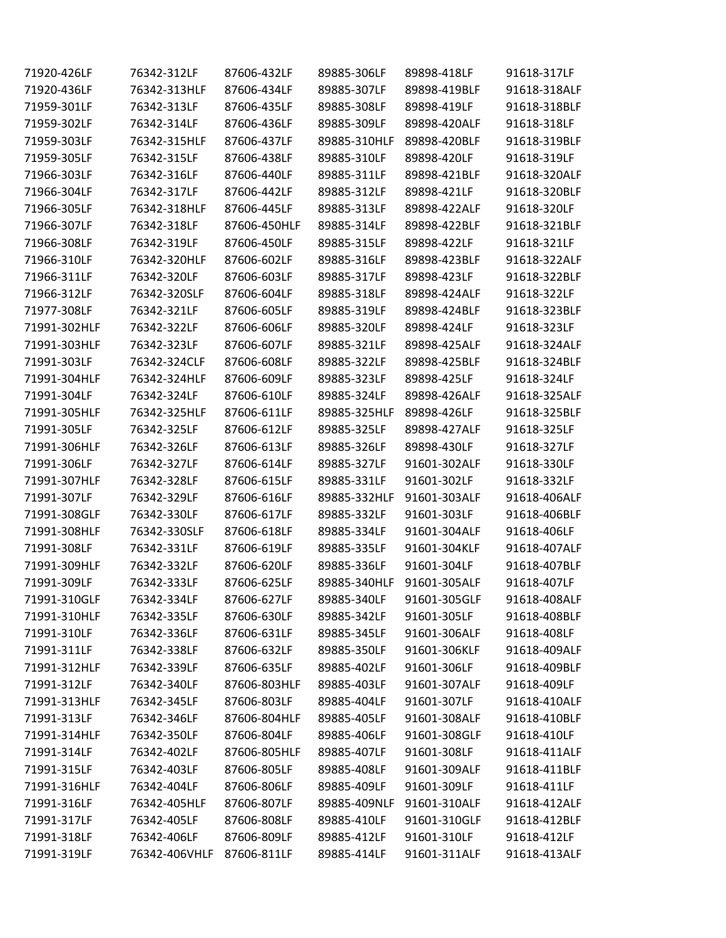| 71920-426LF  | 76342-312LF   | 87606-432LF  | 89885-306LF  | 89898-418LF  | 91618-317LF  |
|--------------|---------------|--------------|--------------|--------------|--------------|
| 71920-436LF  | 76342-313HLF  | 87606-434LF  | 89885-307LF  | 89898-419BLF | 91618-318ALF |
| 71959-301LF  | 76342-313LF   | 87606-435LF  | 89885-308LF  | 89898-419LF  | 91618-318BLF |
| 71959-302LF  | 76342-314LF   | 87606-436LF  | 89885-309LF  | 89898-420ALF | 91618-318LF  |
| 71959-303LF  | 76342-315HLF  | 87606-437LF  | 89885-310HLF | 89898-420BLF | 91618-319BLF |
| 71959-305LF  | 76342-315LF   | 87606-438LF  | 89885-310LF  | 89898-420LF  | 91618-319LF  |
| 71966-303LF  | 76342-316LF   | 87606-440LF  | 89885-311LF  | 89898-421BLF | 91618-320ALF |
| 71966-304LF  | 76342-317LF   | 87606-442LF  | 89885-312LF  | 89898-421LF  | 91618-320BLF |
| 71966-305LF  | 76342-318HLF  | 87606-445LF  | 89885-313LF  | 89898-422ALF | 91618-320LF  |
| 71966-307LF  | 76342-318LF   | 87606-450HLF | 89885-314LF  | 89898-422BLF | 91618-321BLF |
| 71966-308LF  | 76342-319LF   | 87606-450LF  | 89885-315LF  | 89898-422LF  | 91618-321LF  |
| 71966-310LF  | 76342-320HLF  | 87606-602LF  | 89885-316LF  | 89898-423BLF | 91618-322ALF |
| 71966-311LF  | 76342-320LF   | 87606-603LF  | 89885-317LF  | 89898-423LF  | 91618-322BLF |
| 71966-312LF  | 76342-320SLF  | 87606-604LF  | 89885-318LF  | 89898-424ALF | 91618-322LF  |
| 71977-308LF  | 76342-321LF   | 87606-605LF  | 89885-319LF  | 89898-424BLF | 91618-323BLF |
| 71991-302HLF | 76342-322LF   | 87606-606LF  | 89885-320LF  | 89898-424LF  | 91618-323LF  |
| 71991-303HLF | 76342-323LF   | 87606-607LF  | 89885-321LF  | 89898-425ALF | 91618-324ALF |
| 71991-303LF  | 76342-324CLF  | 87606-608LF  | 89885-322LF  | 89898-425BLF | 91618-324BLF |
| 71991-304HLF | 76342-324HLF  | 87606-609LF  | 89885-323LF  | 89898-425LF  | 91618-324LF  |
| 71991-304LF  | 76342-324LF   | 87606-610LF  | 89885-324LF  | 89898-426ALF | 91618-325ALF |
| 71991-305HLF | 76342-325HLF  | 87606-611LF  | 89885-325HLF | 89898-426LF  | 91618-325BLF |
| 71991-305LF  | 76342-325LF   | 87606-612LF  | 89885-325LF  | 89898-427ALF | 91618-325LF  |
| 71991-306HLF | 76342-326LF   | 87606-613LF  | 89885-326LF  | 89898-430LF  | 91618-327LF  |
| 71991-306LF  | 76342-327LF   | 87606-614LF  | 89885-327LF  | 91601-302ALF | 91618-330LF  |
| 71991-307HLF | 76342-328LF   | 87606-615LF  | 89885-331LF  | 91601-302LF  | 91618-332LF  |
| 71991-307LF  | 76342-329LF   | 87606-616LF  | 89885-332HLF | 91601-303ALF | 91618-406ALF |
| 71991-308GLF | 76342-330LF   | 87606-617LF  | 89885-332LF  | 91601-303LF  | 91618-406BLF |
| 71991-308HLF | 76342-330SLF  | 87606-618LF  | 89885-334LF  | 91601-304ALF | 91618-406LF  |
| 71991-308LF  | 76342-331LF   | 87606-619LF  | 89885-335LF  | 91601-304KLF | 91618-407ALF |
| 71991-309HLF | 76342-332LF   | 87606-620LF  | 89885-336LF  | 91601-304LF  | 91618-407BLF |
| 71991-309LF  | 76342-333LF   | 87606-625LF  | 89885-340HLF | 91601-305ALF | 91618-407LF  |
| 71991-310GLF | 76342-334LF   | 87606-627LF  | 89885-340LF  | 91601-305GLF | 91618-408ALF |
| 71991-310HLF | 76342-335LF   | 87606-630LF  | 89885-342LF  | 91601-305LF  | 91618-408BLF |
| 71991-310LF  | 76342-336LF   | 87606-631LF  | 89885-345LF  | 91601-306ALF | 91618-408LF  |
| 71991-311LF  | 76342-338LF   | 87606-632LF  | 89885-350LF  | 91601-306KLF | 91618-409ALF |
| 71991-312HLF | 76342-339LF   | 87606-635LF  | 89885-402LF  | 91601-306LF  | 91618-409BLF |
| 71991-312LF  | 76342-340LF   | 87606-803HLF | 89885-403LF  | 91601-307ALF | 91618-409LF  |
| 71991-313HLF | 76342-345LF   | 87606-803LF  | 89885-404LF  | 91601-307LF  | 91618-410ALF |
| 71991-313LF  | 76342-346LF   | 87606-804HLF | 89885-405LF  | 91601-308ALF | 91618-410BLF |
| 71991-314HLF | 76342-350LF   | 87606-804LF  | 89885-406LF  | 91601-308GLF | 91618-410LF  |
| 71991-314LF  | 76342-402LF   | 87606-805HLF | 89885-407LF  | 91601-308LF  | 91618-411ALF |
| 71991-315LF  | 76342-403LF   | 87606-805LF  | 89885-408LF  | 91601-309ALF | 91618-411BLF |
| 71991-316HLF | 76342-404LF   | 87606-806LF  | 89885-409LF  | 91601-309LF  | 91618-411LF  |
| 71991-316LF  | 76342-405HLF  | 87606-807LF  | 89885-409NLF | 91601-310ALF | 91618-412ALF |
| 71991-317LF  | 76342-405LF   | 87606-808LF  | 89885-410LF  | 91601-310GLF | 91618-412BLF |
| 71991-318LF  | 76342-406LF   | 87606-809LF  | 89885-412LF  | 91601-310LF  | 91618-412LF  |
| 71991-319LF  | 76342-406VHLF | 87606-811LF  | 89885-414LF  | 91601-311ALF | 91618-413ALF |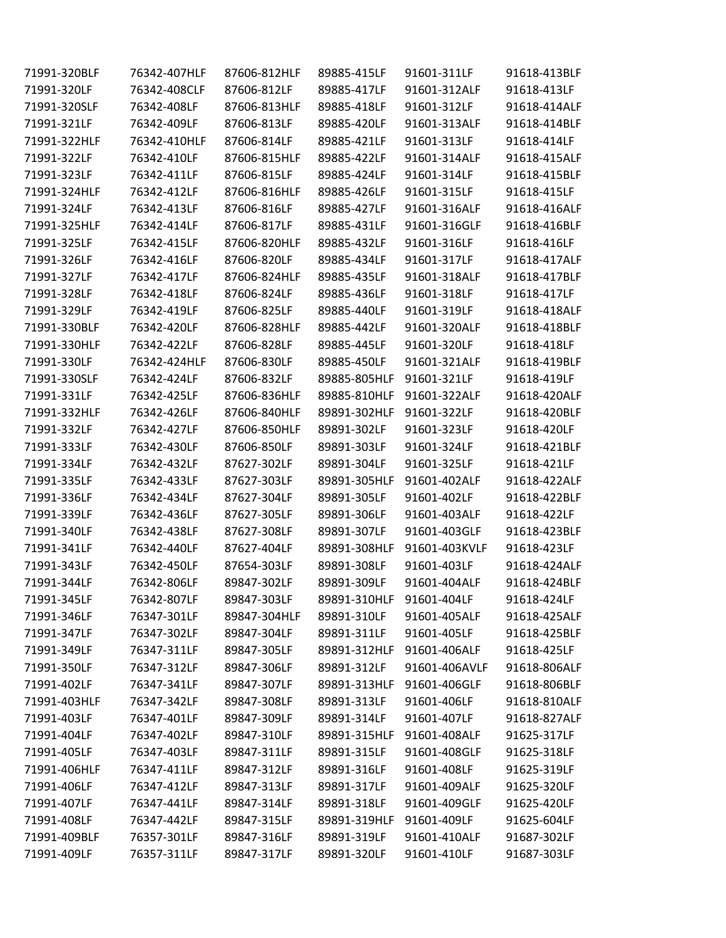| 71991-320BLF | 76342-407HLF | 87606-812HLF | 89885-415LF              | 91601-311LF   | 91618-413BLF |
|--------------|--------------|--------------|--------------------------|---------------|--------------|
| 71991-320LF  | 76342-408CLF | 87606-812LF  | 89885-417LF              | 91601-312ALF  | 91618-413LF  |
| 71991-320SLF | 76342-408LF  | 87606-813HLF | 89885-418LF              | 91601-312LF   | 91618-414ALF |
| 71991-321LF  | 76342-409LF  | 87606-813LF  | 89885-420LF              | 91601-313ALF  | 91618-414BLF |
| 71991-322HLF | 76342-410HLF | 87606-814LF  | 89885-421LF              | 91601-313LF   | 91618-414LF  |
| 71991-322LF  | 76342-410LF  | 87606-815HLF | 89885-422LF              | 91601-314ALF  | 91618-415ALF |
| 71991-323LF  | 76342-411LF  | 87606-815LF  | 89885-424LF              | 91601-314LF   | 91618-415BLF |
| 71991-324HLF | 76342-412LF  | 87606-816HLF | 89885-426LF              | 91601-315LF   | 91618-415LF  |
| 71991-324LF  | 76342-413LF  | 87606-816LF  | 89885-427LF              | 91601-316ALF  | 91618-416ALF |
| 71991-325HLF | 76342-414LF  | 87606-817LF  | 89885-431LF              | 91601-316GLF  | 91618-416BLF |
| 71991-325LF  | 76342-415LF  | 87606-820HLF | 89885-432LF              | 91601-316LF   | 91618-416LF  |
| 71991-326LF  | 76342-416LF  | 87606-820LF  | 89885-434LF              | 91601-317LF   | 91618-417ALF |
| 71991-327LF  | 76342-417LF  | 87606-824HLF | 89885-435LF              | 91601-318ALF  | 91618-417BLF |
| 71991-328LF  | 76342-418LF  | 87606-824LF  | 89885-436LF              | 91601-318LF   | 91618-417LF  |
| 71991-329LF  | 76342-419LF  | 87606-825LF  | 89885-440LF              | 91601-319LF   | 91618-418ALF |
| 71991-330BLF | 76342-420LF  | 87606-828HLF | 89885-442LF              | 91601-320ALF  | 91618-418BLF |
| 71991-330HLF | 76342-422LF  | 87606-828LF  | 89885-445LF              | 91601-320LF   | 91618-418LF  |
| 71991-330LF  | 76342-424HLF | 87606-830LF  | 89885-450LF              | 91601-321ALF  | 91618-419BLF |
| 71991-330SLF | 76342-424LF  | 87606-832LF  | 89885-805HLF             | 91601-321LF   | 91618-419LF  |
| 71991-331LF  | 76342-425LF  | 87606-836HLF | 89885-810HLF             | 91601-322ALF  | 91618-420ALF |
| 71991-332HLF | 76342-426LF  | 87606-840HLF | 89891-302HLF             | 91601-322LF   | 91618-420BLF |
| 71991-332LF  | 76342-427LF  | 87606-850HLF | 89891-302LF              | 91601-323LF   | 91618-420LF  |
| 71991-333LF  | 76342-430LF  | 87606-850LF  | 89891-303LF              | 91601-324LF   | 91618-421BLF |
| 71991-334LF  | 76342-432LF  | 87627-302LF  | 89891-304LF              | 91601-325LF   | 91618-421LF  |
| 71991-335LF  | 76342-433LF  | 87627-303LF  | 89891-305HLF             | 91601-402ALF  | 91618-422ALF |
| 71991-336LF  | 76342-434LF  | 87627-304LF  | 89891-305LF              | 91601-402LF   | 91618-422BLF |
| 71991-339LF  | 76342-436LF  | 87627-305LF  | 89891-306LF              | 91601-403ALF  | 91618-422LF  |
| 71991-340LF  | 76342-438LF  | 87627-308LF  | 89891-307LF              | 91601-403GLF  | 91618-423BLF |
| 71991-341LF  | 76342-440LF  | 87627-404LF  | 89891-308HLF             | 91601-403KVLF | 91618-423LF  |
| 71991-343LF  | 76342-450LF  | 87654-303LF  | 89891-308LF              | 91601-403LF   | 91618-424ALF |
| 71991-344LF  | 76342-806LF  | 89847-302LF  | 89891-309LF              | 91601-404ALF  | 91618-424BLF |
| 71991-345LF  | 76342-807LF  | 89847-303LF  | 89891-310HLF 91601-404LF |               | 91618-424LF  |
| 71991-346LF  | 76347-301LF  | 89847-304HLF | 89891-310LF              | 91601-405ALF  | 91618-425ALF |
| 71991-347LF  | 76347-302LF  | 89847-304LF  | 89891-311LF              | 91601-405LF   | 91618-425BLF |
| 71991-349LF  | 76347-311LF  | 89847-305LF  | 89891-312HLF             | 91601-406ALF  | 91618-425LF  |
| 71991-350LF  | 76347-312LF  | 89847-306LF  | 89891-312LF              | 91601-406AVLF | 91618-806ALF |
| 71991-402LF  | 76347-341LF  | 89847-307LF  | 89891-313HLF             | 91601-406GLF  | 91618-806BLF |
| 71991-403HLF | 76347-342LF  | 89847-308LF  | 89891-313LF              | 91601-406LF   | 91618-810ALF |
| 71991-403LF  | 76347-401LF  | 89847-309LF  | 89891-314LF              | 91601-407LF   | 91618-827ALF |
| 71991-404LF  | 76347-402LF  | 89847-310LF  | 89891-315HLF             | 91601-408ALF  | 91625-317LF  |
| 71991-405LF  | 76347-403LF  | 89847-311LF  | 89891-315LF              | 91601-408GLF  | 91625-318LF  |
| 71991-406HLF | 76347-411LF  | 89847-312LF  | 89891-316LF              | 91601-408LF   | 91625-319LF  |
| 71991-406LF  | 76347-412LF  | 89847-313LF  | 89891-317LF              | 91601-409ALF  | 91625-320LF  |
| 71991-407LF  | 76347-441LF  | 89847-314LF  | 89891-318LF              | 91601-409GLF  | 91625-420LF  |
| 71991-408LF  | 76347-442LF  | 89847-315LF  | 89891-319HLF             | 91601-409LF   | 91625-604LF  |
| 71991-409BLF | 76357-301LF  | 89847-316LF  | 89891-319LF              | 91601-410ALF  | 91687-302LF  |
| 71991-409LF  | 76357-311LF  | 89847-317LF  | 89891-320LF              | 91601-410LF   | 91687-303LF  |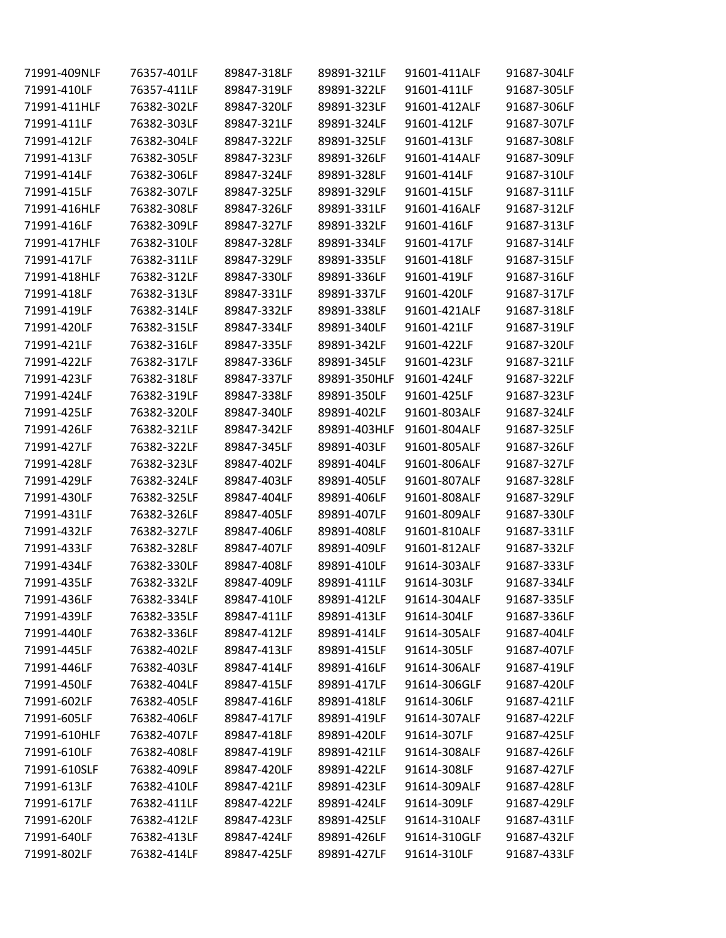| 71991-409NLF | 76357-401LF | 89847-318LF | 89891-321LF  | 91601-411ALF | 91687-304LF |
|--------------|-------------|-------------|--------------|--------------|-------------|
| 71991-410LF  | 76357-411LF | 89847-319LF | 89891-322LF  | 91601-411LF  | 91687-305LF |
| 71991-411HLF | 76382-302LF | 89847-320LF | 89891-323LF  | 91601-412ALF | 91687-306LF |
| 71991-411LF  | 76382-303LF | 89847-321LF | 89891-324LF  | 91601-412LF  | 91687-307LF |
| 71991-412LF  | 76382-304LF | 89847-322LF | 89891-325LF  | 91601-413LF  | 91687-308LF |
| 71991-413LF  | 76382-305LF | 89847-323LF | 89891-326LF  | 91601-414ALF | 91687-309LF |
| 71991-414LF  | 76382-306LF | 89847-324LF | 89891-328LF  | 91601-414LF  | 91687-310LF |
| 71991-415LF  | 76382-307LF | 89847-325LF | 89891-329LF  | 91601-415LF  | 91687-311LF |
| 71991-416HLF | 76382-308LF | 89847-326LF | 89891-331LF  | 91601-416ALF | 91687-312LF |
| 71991-416LF  | 76382-309LF | 89847-327LF | 89891-332LF  | 91601-416LF  | 91687-313LF |
| 71991-417HLF | 76382-310LF | 89847-328LF | 89891-334LF  | 91601-417LF  | 91687-314LF |
| 71991-417LF  | 76382-311LF | 89847-329LF | 89891-335LF  | 91601-418LF  | 91687-315LF |
| 71991-418HLF | 76382-312LF | 89847-330LF | 89891-336LF  | 91601-419LF  | 91687-316LF |
| 71991-418LF  | 76382-313LF | 89847-331LF | 89891-337LF  | 91601-420LF  | 91687-317LF |
| 71991-419LF  | 76382-314LF | 89847-332LF | 89891-338LF  | 91601-421ALF | 91687-318LF |
| 71991-420LF  | 76382-315LF | 89847-334LF | 89891-340LF  | 91601-421LF  | 91687-319LF |
| 71991-421LF  | 76382-316LF | 89847-335LF | 89891-342LF  | 91601-422LF  | 91687-320LF |
| 71991-422LF  | 76382-317LF | 89847-336LF | 89891-345LF  | 91601-423LF  | 91687-321LF |
| 71991-423LF  | 76382-318LF | 89847-337LF | 89891-350HLF | 91601-424LF  | 91687-322LF |
| 71991-424LF  | 76382-319LF | 89847-338LF | 89891-350LF  | 91601-425LF  | 91687-323LF |
| 71991-425LF  | 76382-320LF | 89847-340LF | 89891-402LF  | 91601-803ALF | 91687-324LF |
| 71991-426LF  | 76382-321LF | 89847-342LF | 89891-403HLF | 91601-804ALF | 91687-325LF |
| 71991-427LF  | 76382-322LF | 89847-345LF | 89891-403LF  | 91601-805ALF | 91687-326LF |
| 71991-428LF  | 76382-323LF | 89847-402LF | 89891-404LF  | 91601-806ALF | 91687-327LF |
| 71991-429LF  | 76382-324LF | 89847-403LF | 89891-405LF  | 91601-807ALF | 91687-328LF |
| 71991-430LF  | 76382-325LF | 89847-404LF | 89891-406LF  | 91601-808ALF | 91687-329LF |
| 71991-431LF  | 76382-326LF | 89847-405LF | 89891-407LF  | 91601-809ALF | 91687-330LF |
| 71991-432LF  | 76382-327LF | 89847-406LF | 89891-408LF  | 91601-810ALF | 91687-331LF |
| 71991-433LF  | 76382-328LF | 89847-407LF | 89891-409LF  | 91601-812ALF | 91687-332LF |
| 71991-434LF  | 76382-330LF | 89847-408LF | 89891-410LF  | 91614-303ALF | 91687-333LF |
| 71991-435LF  | 76382-332LF | 89847-409LF | 89891-411LF  | 91614-303LF  | 91687-334LF |
| 71991-436LF  | 76382-334LF | 89847-410LF | 89891-412LF  | 91614-304ALF | 91687-335LF |
| 71991-439LF  | 76382-335LF | 89847-411LF | 89891-413LF  | 91614-304LF  | 91687-336LF |
| 71991-440LF  | 76382-336LF | 89847-412LF | 89891-414LF  | 91614-305ALF | 91687-404LF |
| 71991-445LF  | 76382-402LF | 89847-413LF | 89891-415LF  | 91614-305LF  | 91687-407LF |
| 71991-446LF  | 76382-403LF | 89847-414LF | 89891-416LF  | 91614-306ALF | 91687-419LF |
| 71991-450LF  | 76382-404LF | 89847-415LF | 89891-417LF  | 91614-306GLF | 91687-420LF |
| 71991-602LF  | 76382-405LF | 89847-416LF | 89891-418LF  | 91614-306LF  | 91687-421LF |
| 71991-605LF  | 76382-406LF | 89847-417LF | 89891-419LF  | 91614-307ALF | 91687-422LF |
| 71991-610HLF | 76382-407LF | 89847-418LF | 89891-420LF  | 91614-307LF  | 91687-425LF |
| 71991-610LF  | 76382-408LF | 89847-419LF | 89891-421LF  | 91614-308ALF | 91687-426LF |
| 71991-610SLF | 76382-409LF | 89847-420LF | 89891-422LF  | 91614-308LF  | 91687-427LF |
| 71991-613LF  | 76382-410LF | 89847-421LF | 89891-423LF  | 91614-309ALF | 91687-428LF |
| 71991-617LF  | 76382-411LF | 89847-422LF | 89891-424LF  | 91614-309LF  | 91687-429LF |
| 71991-620LF  | 76382-412LF | 89847-423LF | 89891-425LF  | 91614-310ALF | 91687-431LF |
| 71991-640LF  | 76382-413LF | 89847-424LF | 89891-426LF  | 91614-310GLF | 91687-432LF |
| 71991-802LF  | 76382-414LF | 89847-425LF | 89891-427LF  | 91614-310LF  | 91687-433LF |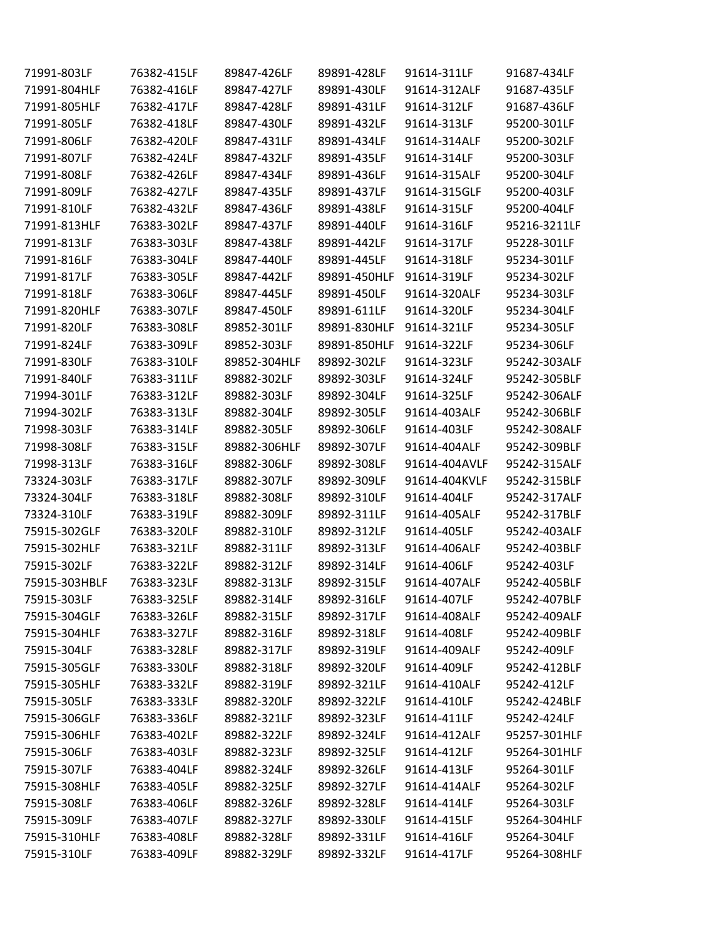| 71991-803LF   | 76382-415LF | 89847-426LF  | 89891-428LF  | 91614-311LF   | 91687-434LF  |
|---------------|-------------|--------------|--------------|---------------|--------------|
| 71991-804HLF  | 76382-416LF | 89847-427LF  | 89891-430LF  | 91614-312ALF  | 91687-435LF  |
| 71991-805HLF  | 76382-417LF | 89847-428LF  | 89891-431LF  | 91614-312LF   | 91687-436LF  |
| 71991-805LF   | 76382-418LF | 89847-430LF  | 89891-432LF  | 91614-313LF   | 95200-301LF  |
| 71991-806LF   | 76382-420LF | 89847-431LF  | 89891-434LF  | 91614-314ALF  | 95200-302LF  |
| 71991-807LF   | 76382-424LF | 89847-432LF  | 89891-435LF  | 91614-314LF   | 95200-303LF  |
| 71991-808LF   | 76382-426LF | 89847-434LF  | 89891-436LF  | 91614-315ALF  | 95200-304LF  |
| 71991-809LF   | 76382-427LF | 89847-435LF  | 89891-437LF  | 91614-315GLF  | 95200-403LF  |
| 71991-810LF   | 76382-432LF | 89847-436LF  | 89891-438LF  | 91614-315LF   | 95200-404LF  |
| 71991-813HLF  | 76383-302LF | 89847-437LF  | 89891-440LF  | 91614-316LF   | 95216-3211LF |
| 71991-813LF   | 76383-303LF | 89847-438LF  | 89891-442LF  | 91614-317LF   | 95228-301LF  |
| 71991-816LF   | 76383-304LF | 89847-440LF  | 89891-445LF  | 91614-318LF   | 95234-301LF  |
| 71991-817LF   | 76383-305LF | 89847-442LF  | 89891-450HLF | 91614-319LF   | 95234-302LF  |
| 71991-818LF   | 76383-306LF | 89847-445LF  | 89891-450LF  | 91614-320ALF  | 95234-303LF  |
| 71991-820HLF  | 76383-307LF | 89847-450LF  | 89891-611LF  | 91614-320LF   | 95234-304LF  |
| 71991-820LF   | 76383-308LF | 89852-301LF  | 89891-830HLF | 91614-321LF   | 95234-305LF  |
| 71991-824LF   | 76383-309LF | 89852-303LF  | 89891-850HLF | 91614-322LF   | 95234-306LF  |
| 71991-830LF   | 76383-310LF | 89852-304HLF | 89892-302LF  | 91614-323LF   | 95242-303ALF |
| 71991-840LF   | 76383-311LF | 89882-302LF  | 89892-303LF  | 91614-324LF   | 95242-305BLF |
| 71994-301LF   | 76383-312LF | 89882-303LF  | 89892-304LF  | 91614-325LF   | 95242-306ALF |
| 71994-302LF   | 76383-313LF | 89882-304LF  | 89892-305LF  | 91614-403ALF  | 95242-306BLF |
| 71998-303LF   | 76383-314LF | 89882-305LF  | 89892-306LF  | 91614-403LF   | 95242-308ALF |
| 71998-308LF   | 76383-315LF | 89882-306HLF | 89892-307LF  | 91614-404ALF  | 95242-309BLF |
| 71998-313LF   | 76383-316LF | 89882-306LF  | 89892-308LF  | 91614-404AVLF | 95242-315ALF |
| 73324-303LF   | 76383-317LF | 89882-307LF  | 89892-309LF  | 91614-404KVLF | 95242-315BLF |
| 73324-304LF   | 76383-318LF | 89882-308LF  | 89892-310LF  | 91614-404LF   | 95242-317ALF |
| 73324-310LF   | 76383-319LF | 89882-309LF  | 89892-311LF  | 91614-405ALF  | 95242-317BLF |
| 75915-302GLF  | 76383-320LF | 89882-310LF  | 89892-312LF  | 91614-405LF   | 95242-403ALF |
| 75915-302HLF  | 76383-321LF | 89882-311LF  | 89892-313LF  | 91614-406ALF  | 95242-403BLF |
| 75915-302LF   | 76383-322LF | 89882-312LF  | 89892-314LF  | 91614-406LF   | 95242-403LF  |
| 75915-303HBLF | 76383-323LF | 89882-313LF  | 89892-315LF  | 91614-407ALF  | 95242-405BLF |
| 75915-303LF   | 76383-325LF | 89882-314LF  | 89892-316LF  | 91614-407LF   | 95242-407BLF |
| 75915-304GLF  | 76383-326LF | 89882-315LF  | 89892-317LF  | 91614-408ALF  | 95242-409ALF |
| 75915-304HLF  | 76383-327LF | 89882-316LF  | 89892-318LF  | 91614-408LF   | 95242-409BLF |
| 75915-304LF   | 76383-328LF | 89882-317LF  | 89892-319LF  | 91614-409ALF  | 95242-409LF  |
| 75915-305GLF  | 76383-330LF | 89882-318LF  | 89892-320LF  | 91614-409LF   | 95242-412BLF |
| 75915-305HLF  | 76383-332LF | 89882-319LF  | 89892-321LF  | 91614-410ALF  | 95242-412LF  |
| 75915-305LF   | 76383-333LF | 89882-320LF  | 89892-322LF  | 91614-410LF   | 95242-424BLF |
| 75915-306GLF  | 76383-336LF | 89882-321LF  | 89892-323LF  | 91614-411LF   | 95242-424LF  |
| 75915-306HLF  | 76383-402LF | 89882-322LF  | 89892-324LF  | 91614-412ALF  | 95257-301HLF |
| 75915-306LF   | 76383-403LF | 89882-323LF  | 89892-325LF  | 91614-412LF   | 95264-301HLF |
| 75915-307LF   | 76383-404LF | 89882-324LF  | 89892-326LF  | 91614-413LF   | 95264-301LF  |
| 75915-308HLF  | 76383-405LF | 89882-325LF  | 89892-327LF  | 91614-414ALF  | 95264-302LF  |
| 75915-308LF   | 76383-406LF | 89882-326LF  | 89892-328LF  | 91614-414LF   | 95264-303LF  |
| 75915-309LF   | 76383-407LF | 89882-327LF  | 89892-330LF  | 91614-415LF   | 95264-304HLF |
| 75915-310HLF  | 76383-408LF | 89882-328LF  | 89892-331LF  | 91614-416LF   | 95264-304LF  |
| 75915-310LF   | 76383-409LF | 89882-329LF  | 89892-332LF  | 91614-417LF   | 95264-308HLF |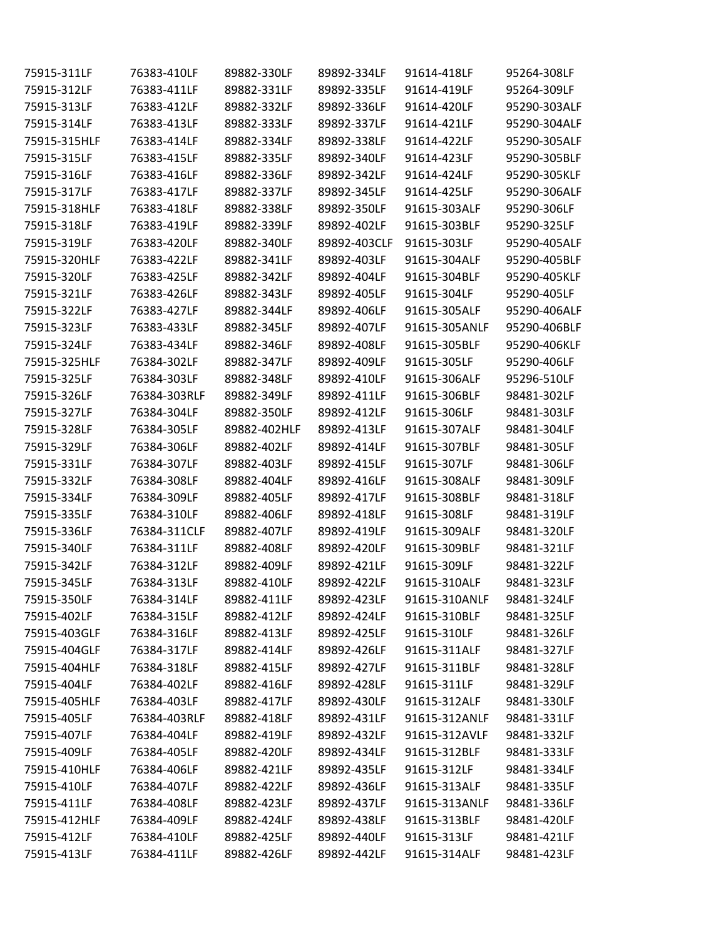| 75915-311LF  | 76383-410LF  | 89882-330LF  | 89892-334LF  | 91614-418LF   | 95264-308LF  |
|--------------|--------------|--------------|--------------|---------------|--------------|
| 75915-312LF  | 76383-411LF  | 89882-331LF  | 89892-335LF  | 91614-419LF   | 95264-309LF  |
| 75915-313LF  | 76383-412LF  | 89882-332LF  | 89892-336LF  | 91614-420LF   | 95290-303ALF |
| 75915-314LF  | 76383-413LF  | 89882-333LF  | 89892-337LF  | 91614-421LF   | 95290-304ALF |
| 75915-315HLF | 76383-414LF  | 89882-334LF  | 89892-338LF  | 91614-422LF   | 95290-305ALF |
| 75915-315LF  | 76383-415LF  | 89882-335LF  | 89892-340LF  | 91614-423LF   | 95290-305BLF |
| 75915-316LF  | 76383-416LF  | 89882-336LF  | 89892-342LF  | 91614-424LF   | 95290-305KLF |
| 75915-317LF  | 76383-417LF  | 89882-337LF  | 89892-345LF  | 91614-425LF   | 95290-306ALF |
| 75915-318HLF | 76383-418LF  | 89882-338LF  | 89892-350LF  | 91615-303ALF  | 95290-306LF  |
| 75915-318LF  | 76383-419LF  | 89882-339LF  | 89892-402LF  | 91615-303BLF  | 95290-325LF  |
| 75915-319LF  | 76383-420LF  | 89882-340LF  | 89892-403CLF | 91615-303LF   | 95290-405ALF |
| 75915-320HLF | 76383-422LF  | 89882-341LF  | 89892-403LF  | 91615-304ALF  | 95290-405BLF |
| 75915-320LF  | 76383-425LF  | 89882-342LF  | 89892-404LF  | 91615-304BLF  | 95290-405KLF |
| 75915-321LF  | 76383-426LF  | 89882-343LF  | 89892-405LF  | 91615-304LF   | 95290-405LF  |
| 75915-322LF  | 76383-427LF  | 89882-344LF  | 89892-406LF  | 91615-305ALF  | 95290-406ALF |
| 75915-323LF  | 76383-433LF  | 89882-345LF  | 89892-407LF  | 91615-305ANLF | 95290-406BLF |
| 75915-324LF  | 76383-434LF  | 89882-346LF  | 89892-408LF  | 91615-305BLF  | 95290-406KLF |
| 75915-325HLF | 76384-302LF  | 89882-347LF  | 89892-409LF  | 91615-305LF   | 95290-406LF  |
| 75915-325LF  | 76384-303LF  | 89882-348LF  | 89892-410LF  | 91615-306ALF  | 95296-510LF  |
| 75915-326LF  | 76384-303RLF | 89882-349LF  | 89892-411LF  | 91615-306BLF  | 98481-302LF  |
| 75915-327LF  | 76384-304LF  | 89882-350LF  | 89892-412LF  | 91615-306LF   | 98481-303LF  |
| 75915-328LF  | 76384-305LF  | 89882-402HLF | 89892-413LF  | 91615-307ALF  | 98481-304LF  |
| 75915-329LF  | 76384-306LF  | 89882-402LF  | 89892-414LF  | 91615-307BLF  | 98481-305LF  |
| 75915-331LF  | 76384-307LF  | 89882-403LF  | 89892-415LF  | 91615-307LF   | 98481-306LF  |
| 75915-332LF  | 76384-308LF  | 89882-404LF  | 89892-416LF  | 91615-308ALF  | 98481-309LF  |
| 75915-334LF  | 76384-309LF  | 89882-405LF  | 89892-417LF  | 91615-308BLF  | 98481-318LF  |
| 75915-335LF  | 76384-310LF  | 89882-406LF  | 89892-418LF  | 91615-308LF   | 98481-319LF  |
| 75915-336LF  | 76384-311CLF | 89882-407LF  | 89892-419LF  | 91615-309ALF  | 98481-320LF  |
| 75915-340LF  | 76384-311LF  | 89882-408LF  | 89892-420LF  | 91615-309BLF  | 98481-321LF  |
| 75915-342LF  | 76384-312LF  | 89882-409LF  | 89892-421LF  | 91615-309LF   | 98481-322LF  |
| 75915-345LF  | 76384-313LF  | 89882-410LF  | 89892-422LF  | 91615-310ALF  | 98481-323LF  |
| 75915-350LF  | 76384-314LF  | 89882-411LF  | 89892-423LF  | 91615-310ANLF | 98481-324LF  |
| 75915-402LF  | 76384-315LF  | 89882-412LF  | 89892-424LF  | 91615-310BLF  | 98481-325LF  |
| 75915-403GLF | 76384-316LF  | 89882-413LF  | 89892-425LF  | 91615-310LF   | 98481-326LF  |
| 75915-404GLF | 76384-317LF  | 89882-414LF  | 89892-426LF  | 91615-311ALF  | 98481-327LF  |
| 75915-404HLF | 76384-318LF  | 89882-415LF  | 89892-427LF  | 91615-311BLF  | 98481-328LF  |
| 75915-404LF  | 76384-402LF  | 89882-416LF  | 89892-428LF  | 91615-311LF   | 98481-329LF  |
| 75915-405HLF | 76384-403LF  | 89882-417LF  | 89892-430LF  | 91615-312ALF  | 98481-330LF  |
| 75915-405LF  | 76384-403RLF | 89882-418LF  | 89892-431LF  | 91615-312ANLF | 98481-331LF  |
| 75915-407LF  | 76384-404LF  | 89882-419LF  | 89892-432LF  | 91615-312AVLF | 98481-332LF  |
| 75915-409LF  | 76384-405LF  | 89882-420LF  | 89892-434LF  | 91615-312BLF  | 98481-333LF  |
| 75915-410HLF | 76384-406LF  | 89882-421LF  | 89892-435LF  | 91615-312LF   | 98481-334LF  |
| 75915-410LF  | 76384-407LF  | 89882-422LF  | 89892-436LF  | 91615-313ALF  | 98481-335LF  |
| 75915-411LF  | 76384-408LF  | 89882-423LF  | 89892-437LF  | 91615-313ANLF | 98481-336LF  |
| 75915-412HLF | 76384-409LF  | 89882-424LF  | 89892-438LF  | 91615-313BLF  | 98481-420LF  |
| 75915-412LF  | 76384-410LF  | 89882-425LF  | 89892-440LF  | 91615-313LF   | 98481-421LF  |
| 75915-413LF  | 76384-411LF  | 89882-426LF  | 89892-442LF  | 91615-314ALF  | 98481-423LF  |